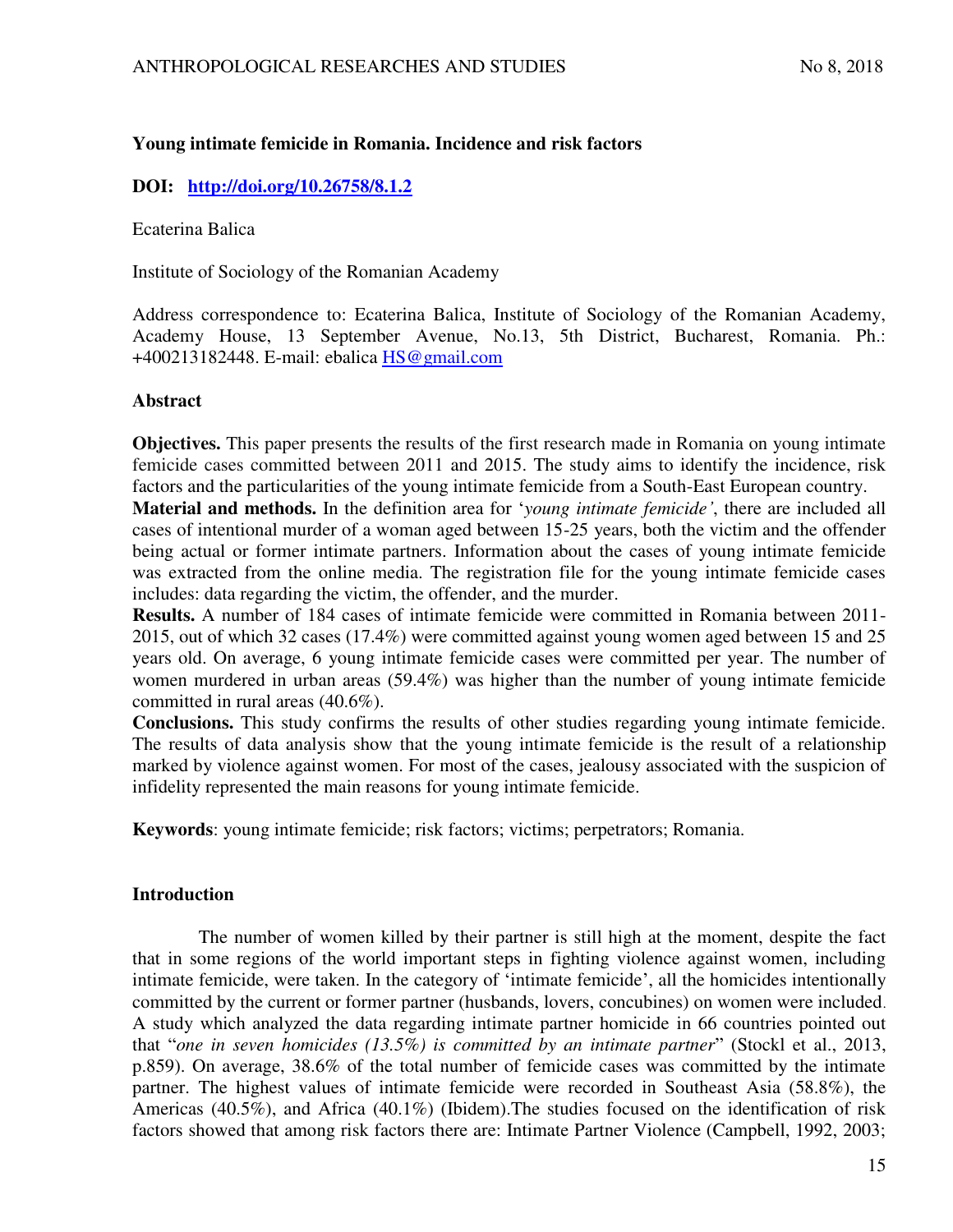# **Young intimate femicide in Romania. Incidence and risk factors**

## **DOI: <http://doi.org/10.26758/8.1.2>**

Ecaterina Balica

Institute of Sociology of the Romanian Academy

Address correspondence to: Ecaterina Balica, Institute of Sociology of the Romanian Academy, Academy House, 13 September Avenue, No.13, 5th District, Bucharest, Romania. Ph.: +400213182448. E-mail: ebalica [HS@gmail.com](mailto:HS@gmail.com)

## **Abstract**

**Objectives.** This paper presents the results of the first research made in Romania on young intimate femicide cases committed between 2011 and 2015. The study aims to identify the incidence, risk factors and the particularities of the young intimate femicide from a South-East European country.

**Material and methods.** In the definition area for '*young intimate femicide'*, there are included all cases of intentional murder of a woman aged between 15-25 years, both the victim and the offender being actual or former intimate partners. Information about the cases of young intimate femicide was extracted from the online media. The registration file for the young intimate femicide cases includes: data regarding the victim, the offender, and the murder.

**Results.** A number of 184 cases of intimate femicide were committed in Romania between 2011- 2015, out of which 32 cases (17.4%) were committed against young women aged between 15 and 25 years old. On average, 6 young intimate femicide cases were committed per year. The number of women murdered in urban areas (59.4%) was higher than the number of young intimate femicide committed in rural areas (40.6%).

**Conclusions.** This study confirms the results of other studies regarding young intimate femicide. The results of data analysis show that the young intimate femicide is the result of a relationship marked by violence against women. For most of the cases, jealousy associated with the suspicion of infidelity represented the main reasons for young intimate femicide.

**Keywords**: young intimate femicide; risk factors; victims; perpetrators; Romania.

## **Introduction**

The number of women killed by their partner is still high at the moment, despite the fact that in some regions of the world important steps in fighting violence against women, including intimate femicide, were taken. In the category of 'intimate femicide', all the homicides intentionally committed by the current or former partner (husbands, lovers, concubines) on women were included. A study which analyzed the data regarding intimate partner homicide in 66 countries pointed out that "*one in seven homicides (13.5%) is committed by an intimate partner*" (Stockl et al., 2013, p.859). On average, 38.6% of the total number of femicide cases was committed by the intimate partner. The highest values of intimate femicide were recorded in Southeast Asia (58.8%), the Americas (40.5%), and Africa (40.1%) (Ibidem).The studies focused on the identification of risk factors showed that among risk factors there are: Intimate Partner Violence (Campbell, 1992, 2003;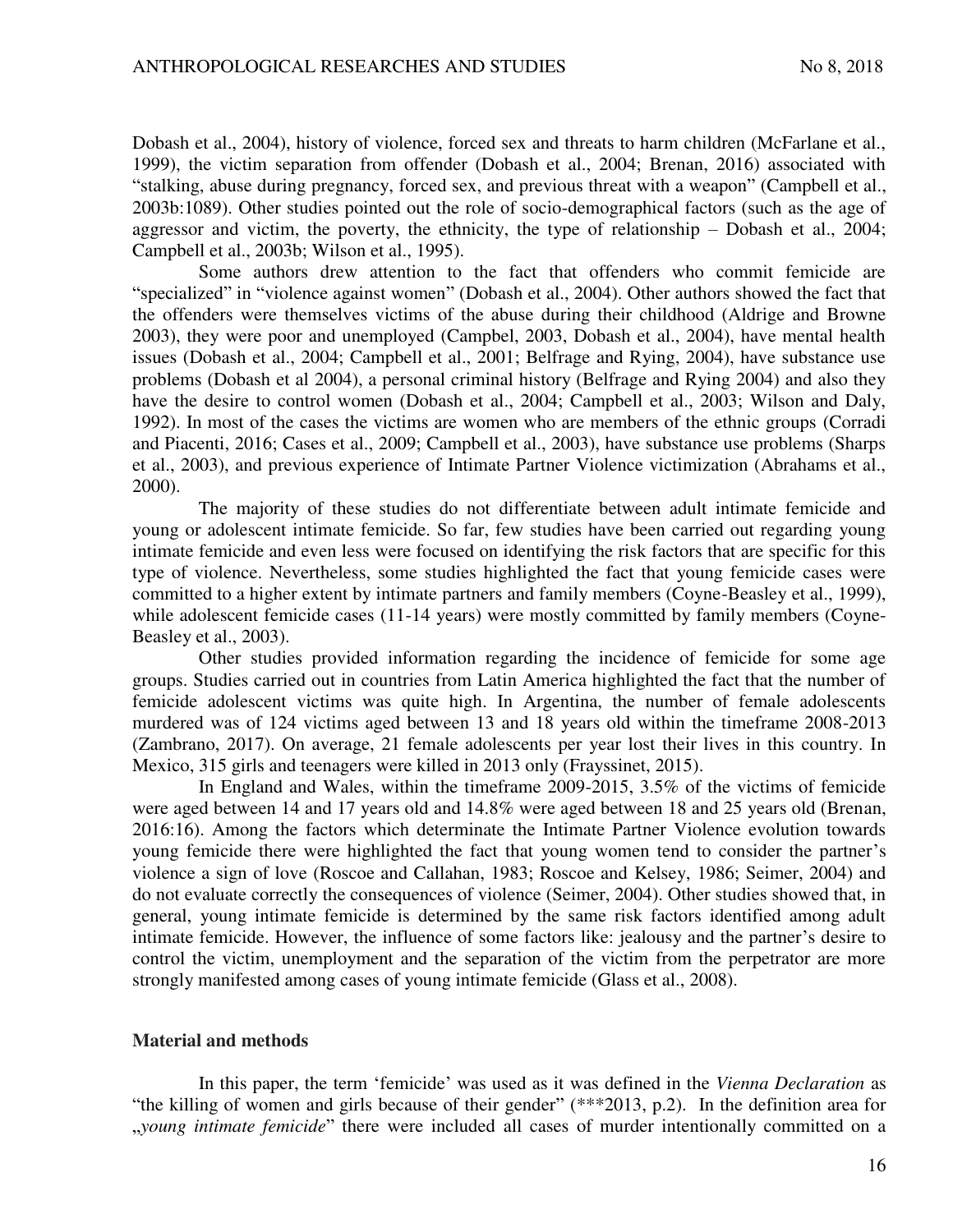Dobash et al., 2004), history of violence, forced sex and threats to harm children (McFarlane et al., 1999), the victim separation from offender (Dobash et al., 2004; Brenan, 2016) associated with "stalking, abuse during pregnancy, forced sex, and previous threat with a weapon" (Campbell et al., 2003b:1089). Other studies pointed out the role of socio-demographical factors (such as the age of aggressor and victim, the poverty, the ethnicity, the type of relationship – Dobash et al., 2004; Campbell et al., 2003b; Wilson et al., 1995).

Some authors drew attention to the fact that offenders who commit femicide are "specialized" in "violence against women" (Dobash et al., 2004). Other authors showed the fact that the offenders were themselves victims of the abuse during their childhood (Aldrige and Browne 2003), they were poor and unemployed (Campbel, 2003, Dobash et al., 2004), have mental health issues (Dobash et al., 2004; Campbell et al., 2001; Belfrage and Rying, 2004), have substance use problems (Dobash et al 2004), a personal criminal history (Belfrage and Rying 2004) and also they have the desire to control women (Dobash et al., 2004; Campbell et al., 2003; Wilson and Daly, 1992). In most of the cases the victims are women who are members of the ethnic groups (Corradi and Piacenti, 2016; Cases et al., 2009; Campbell et al., 2003), have substance use problems (Sharps et al., 2003), and previous experience of Intimate Partner Violence victimization (Abrahams et al., 2000).

The majority of these studies do not differentiate between adult intimate femicide and young or adolescent intimate femicide. So far, few studies have been carried out regarding young intimate femicide and even less were focused on identifying the risk factors that are specific for this type of violence. Nevertheless, some studies highlighted the fact that young femicide cases were committed to a higher extent by intimate partners and family members (Coyne-Beasley et al., 1999), while adolescent femicide cases (11-14 years) were mostly committed by family members (Coyne-Beasley et al., 2003).

Other studies provided information regarding the incidence of femicide for some age groups. Studies carried out in countries from Latin America highlighted the fact that the number of femicide adolescent victims was quite high. In Argentina, the number of female adolescents murdered was of 124 victims aged between 13 and 18 years old within the timeframe 2008-2013 (Zambrano, 2017). On average, 21 female adolescents per year lost their lives in this country. In Mexico, 315 girls and teenagers were killed in 2013 only (Frayssinet, 2015).

In England and Wales, within the timeframe 2009-2015, 3.5% of the victims of femicide were aged between 14 and 17 years old and 14.8% were aged between 18 and 25 years old (Brenan, 2016:16). Among the factors which determinate the Intimate Partner Violence evolution towards young femicide there were highlighted the fact that young women tend to consider the partner's violence a sign of love (Roscoe and Callahan, 1983; Roscoe and Kelsey, 1986; Seimer, 2004) and do not evaluate correctly the consequences of violence (Seimer, 2004). Other studies showed that, in general, young intimate femicide is determined by the same risk factors identified among adult intimate femicide. However, the influence of some factors like: jealousy and the partner's desire to control the victim, unemployment and the separation of the victim from the perpetrator are more strongly manifested among cases of young intimate femicide (Glass et al., 2008).

### **Material and methods**

In this paper, the term 'femicide' was used as it was defined in the *Vienna Declaration* as "the killing of women and girls because of their gender" (\*\*\*2013, p.2). In the definition area for "*young intimate femicide*" there were included all cases of murder intentionally committed on a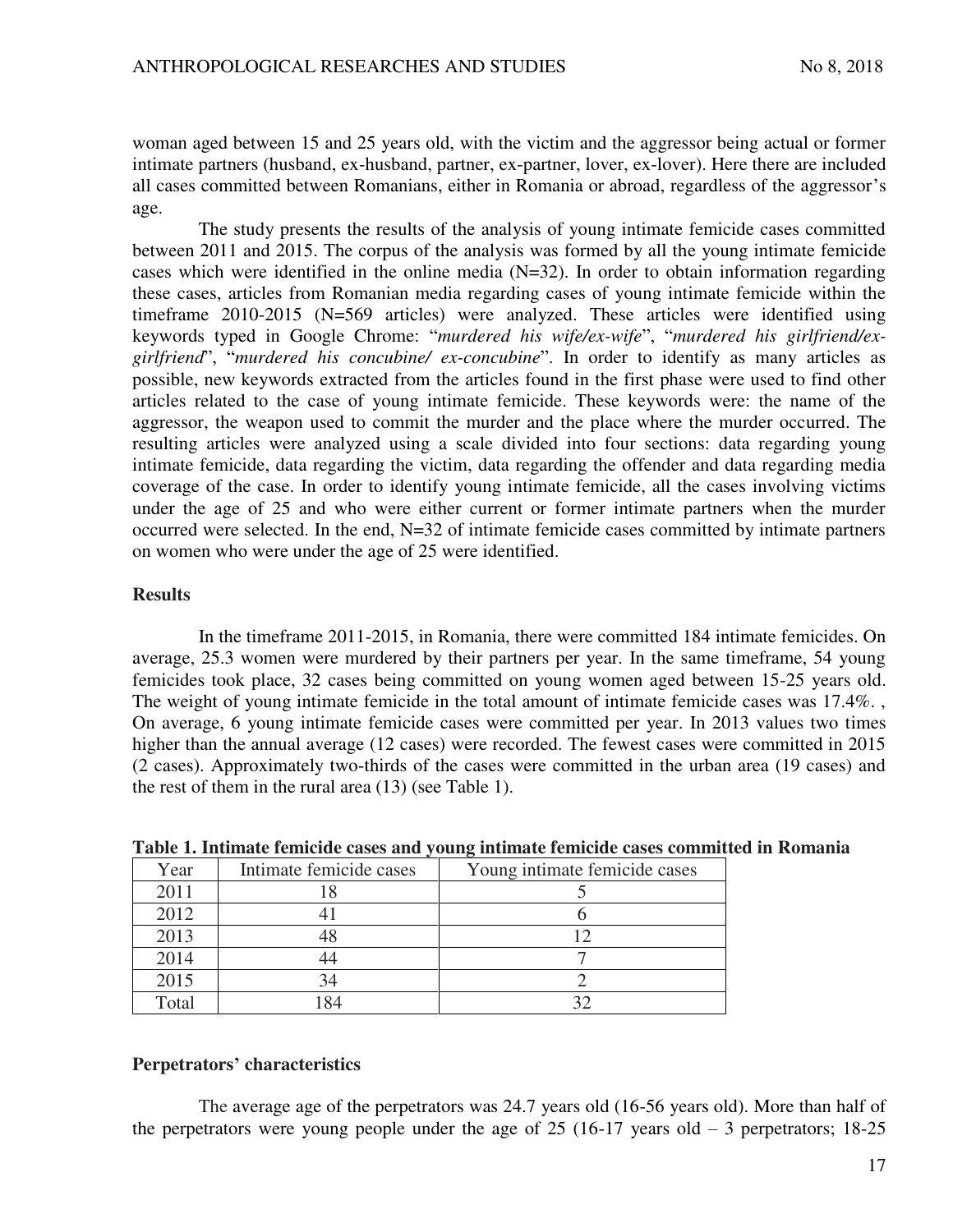woman aged between 15 and 25 years old, with the victim and the aggressor being actual or former intimate partners (husband, ex-husband, partner, ex-partner, lover, ex-lover). Here there are included all cases committed between Romanians, either in Romania or abroad, regardless of the aggressor's age.

The study presents the results of the analysis of young intimate femicide cases committed between 2011 and 2015. The corpus of the analysis was formed by all the young intimate femicide cases which were identified in the online media (N=32). In order to obtain information regarding these cases, articles from Romanian media regarding cases of young intimate femicide within the timeframe 2010-2015 (N=569 articles) were analyzed. These articles were identified using keywords typed in Google Chrome: "*murdered his wife/ex-wife*", "*murdered his girlfriend/exgirlfriend*", "*murdered his concubine/ ex-concubine*". In order to identify as many articles as possible, new keywords extracted from the articles found in the first phase were used to find other articles related to the case of young intimate femicide. These keywords were: the name of the aggressor, the weapon used to commit the murder and the place where the murder occurred. The resulting articles were analyzed using a scale divided into four sections: data regarding young intimate femicide, data regarding the victim, data regarding the offender and data regarding media coverage of the case. In order to identify young intimate femicide, all the cases involving victims under the age of 25 and who were either current or former intimate partners when the murder occurred were selected. In the end, N=32 of intimate femicide cases committed by intimate partners on women who were under the age of 25 were identified.

## **Results**

In the timeframe 2011-2015, in Romania, there were committed 184 intimate femicides. On average, 25.3 women were murdered by their partners per year. In the same timeframe, 54 young femicides took place, 32 cases being committed on young women aged between 15-25 years old. The weight of young intimate femicide in the total amount of intimate femicide cases was 17.4%. , On average, 6 young intimate femicide cases were committed per year. In 2013 values two times higher than the annual average (12 cases) were recorded. The fewest cases were committed in 2015 (2 cases). Approximately two-thirds of the cases were committed in the urban area (19 cases) and the rest of them in the rural area (13) (see Table 1).

| Year  | Intimate femicide cases | Young intimate femicide cases |
|-------|-------------------------|-------------------------------|
| 2011  |                         |                               |
| 2012  |                         |                               |
| 2013  |                         |                               |
| 2014  |                         |                               |
| 2015  | 34                      |                               |
| Total |                         |                               |

**Table 1. Intimate femicide cases and young intimate femicide cases committed in Romania**

# **Perpetrators' characteristics**

The average age of the perpetrators was 24.7 years old (16-56 years old). More than half of the perpetrators were young people under the age of  $25$  (16-17 years old  $-3$  perpetrators; 18-25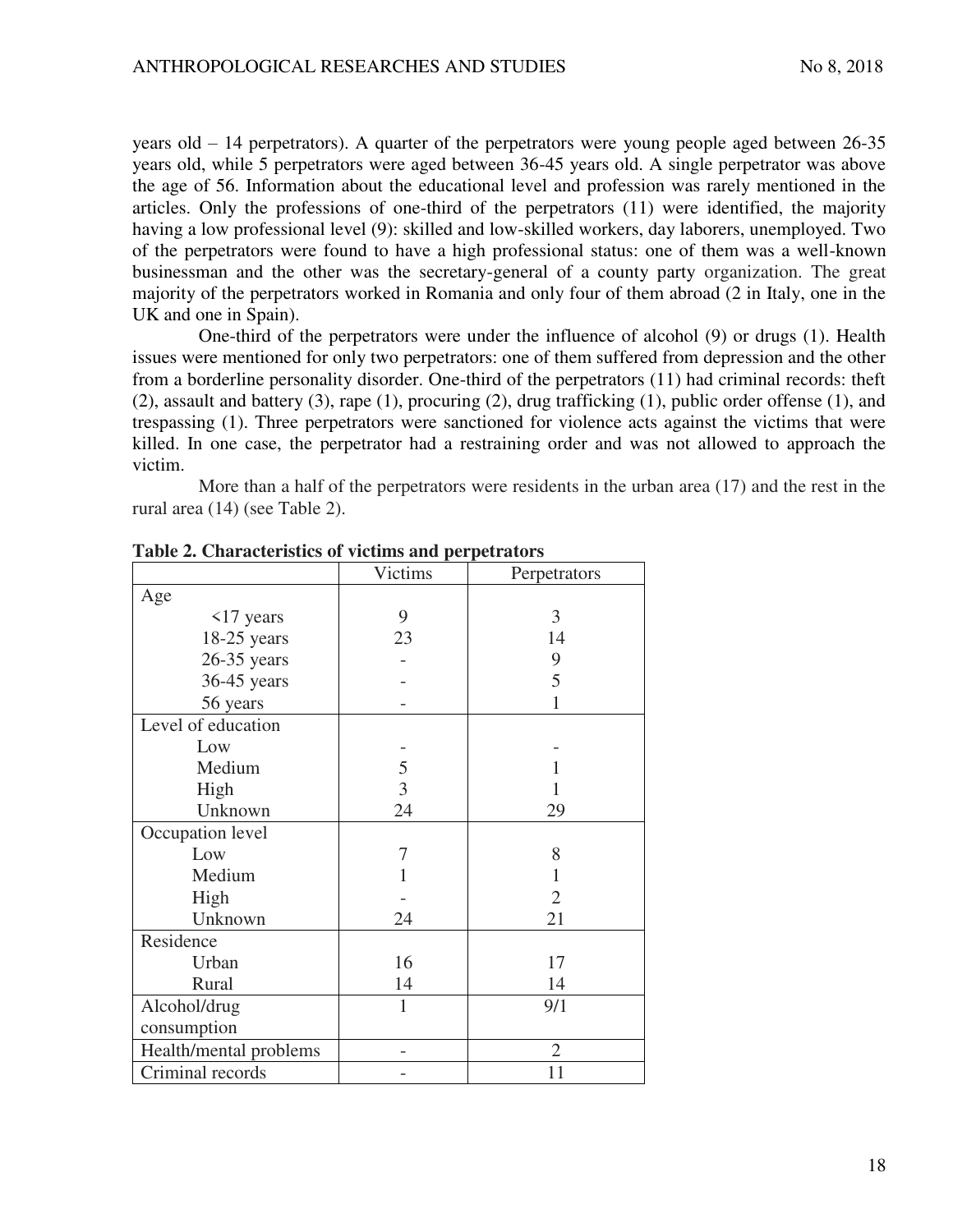years old – 14 perpetrators). A quarter of the perpetrators were young people aged between 26-35 years old, while 5 perpetrators were aged between 36-45 years old. A single perpetrator was above the age of 56. Information about the educational level and profession was rarely mentioned in the articles. Only the professions of one-third of the perpetrators (11) were identified, the majority having a low professional level (9): skilled and low-skilled workers, day laborers, unemployed. Two of the perpetrators were found to have a high professional status: one of them was a well-known businessman and the other was the secretary-general of a county party organization. The great majority of the perpetrators worked in Romania and only four of them abroad (2 in Italy, one in the UK and one in Spain).

One-third of the perpetrators were under the influence of alcohol (9) or drugs (1). Health issues were mentioned for only two perpetrators: one of them suffered from depression and the other from a borderline personality disorder. One-third of the perpetrators (11) had criminal records: theft (2), assault and battery (3), rape (1), procuring (2), drug trafficking (1), public order offense (1), and trespassing (1). Three perpetrators were sanctioned for violence acts against the victims that were killed. In one case, the perpetrator had a restraining order and was not allowed to approach the victim.

More than a half of the perpetrators were residents in the urban area (17) and the rest in the rural area (14) (see Table 2).

|                        | <b>Victims</b> | Perpetrators   |
|------------------------|----------------|----------------|
| Age                    |                |                |
| $\langle$ 17 years     | 9              | 3              |
| $18-25$ years          | 23             | 14             |
| $26-35$ years          |                | 9              |
| 36-45 years            |                | 5              |
| 56 years               |                |                |
| Level of education     |                |                |
| Low                    |                |                |
| Medium                 | 5              |                |
| High                   | 3              |                |
| Unknown                | 24             | 29             |
| Occupation level       |                |                |
| Low                    | 7              | 8              |
| Medium                 |                |                |
| High                   |                | $\overline{2}$ |
| Unknown                | 24             | 21             |
| Residence              |                |                |
| Urban                  | 16             | 17             |
| Rural                  | 14             | 14             |
| Alcohol/drug           | $\mathbf{1}$   | 9/1            |
| consumption            |                |                |
| Health/mental problems |                | $\overline{2}$ |
| Criminal records       |                | 11             |

**Table 2. Characteristics of victims and perpetrators**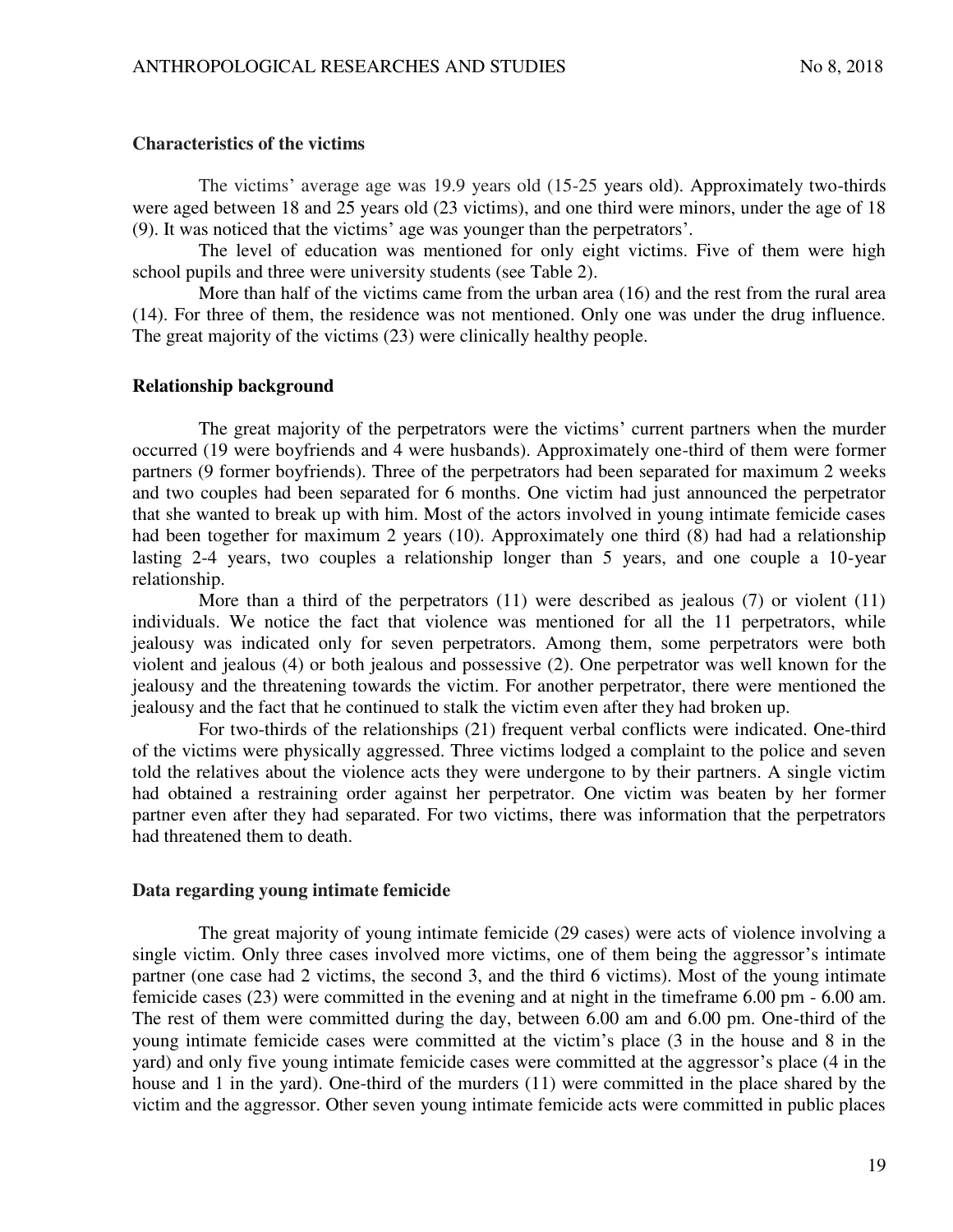### **Characteristics of the victims**

The victims' average age was 19.9 years old (15-25 years old). Approximately two-thirds were aged between 18 and 25 years old (23 victims), and one third were minors, under the age of 18 (9). It was noticed that the victims' age was younger than the perpetrators'.

The level of education was mentioned for only eight victims. Five of them were high school pupils and three were university students (see Table 2).

More than half of the victims came from the urban area (16) and the rest from the rural area (14). For three of them, the residence was not mentioned. Only one was under the drug influence. The great majority of the victims (23) were clinically healthy people.

### **Relationship background**

The great majority of the perpetrators were the victims' current partners when the murder occurred (19 were boyfriends and 4 were husbands). Approximately one-third of them were former partners (9 former boyfriends). Three of the perpetrators had been separated for maximum 2 weeks and two couples had been separated for 6 months. One victim had just announced the perpetrator that she wanted to break up with him. Most of the actors involved in young intimate femicide cases had been together for maximum 2 years (10). Approximately one third (8) had had a relationship lasting 2-4 years, two couples a relationship longer than 5 years, and one couple a 10-year relationship.

More than a third of the perpetrators (11) were described as jealous (7) or violent (11) individuals. We notice the fact that violence was mentioned for all the 11 perpetrators, while jealousy was indicated only for seven perpetrators. Among them, some perpetrators were both violent and jealous (4) or both jealous and possessive (2). One perpetrator was well known for the jealousy and the threatening towards the victim. For another perpetrator, there were mentioned the jealousy and the fact that he continued to stalk the victim even after they had broken up.

For two-thirds of the relationships (21) frequent verbal conflicts were indicated. One-third of the victims were physically aggressed. Three victims lodged a complaint to the police and seven told the relatives about the violence acts they were undergone to by their partners. A single victim had obtained a restraining order against her perpetrator. One victim was beaten by her former partner even after they had separated. For two victims, there was information that the perpetrators had threatened them to death.

#### **Data regarding young intimate femicide**

The great majority of young intimate femicide (29 cases) were acts of violence involving a single victim. Only three cases involved more victims, one of them being the aggressor's intimate partner (one case had 2 victims, the second 3, and the third 6 victims). Most of the young intimate femicide cases (23) were committed in the evening and at night in the timeframe 6.00 pm - 6.00 am. The rest of them were committed during the day, between 6.00 am and 6.00 pm. One-third of the young intimate femicide cases were committed at the victim's place (3 in the house and 8 in the yard) and only five young intimate femicide cases were committed at the aggressor's place (4 in the house and 1 in the yard). One-third of the murders (11) were committed in the place shared by the victim and the aggressor. Other seven young intimate femicide acts were committed in public places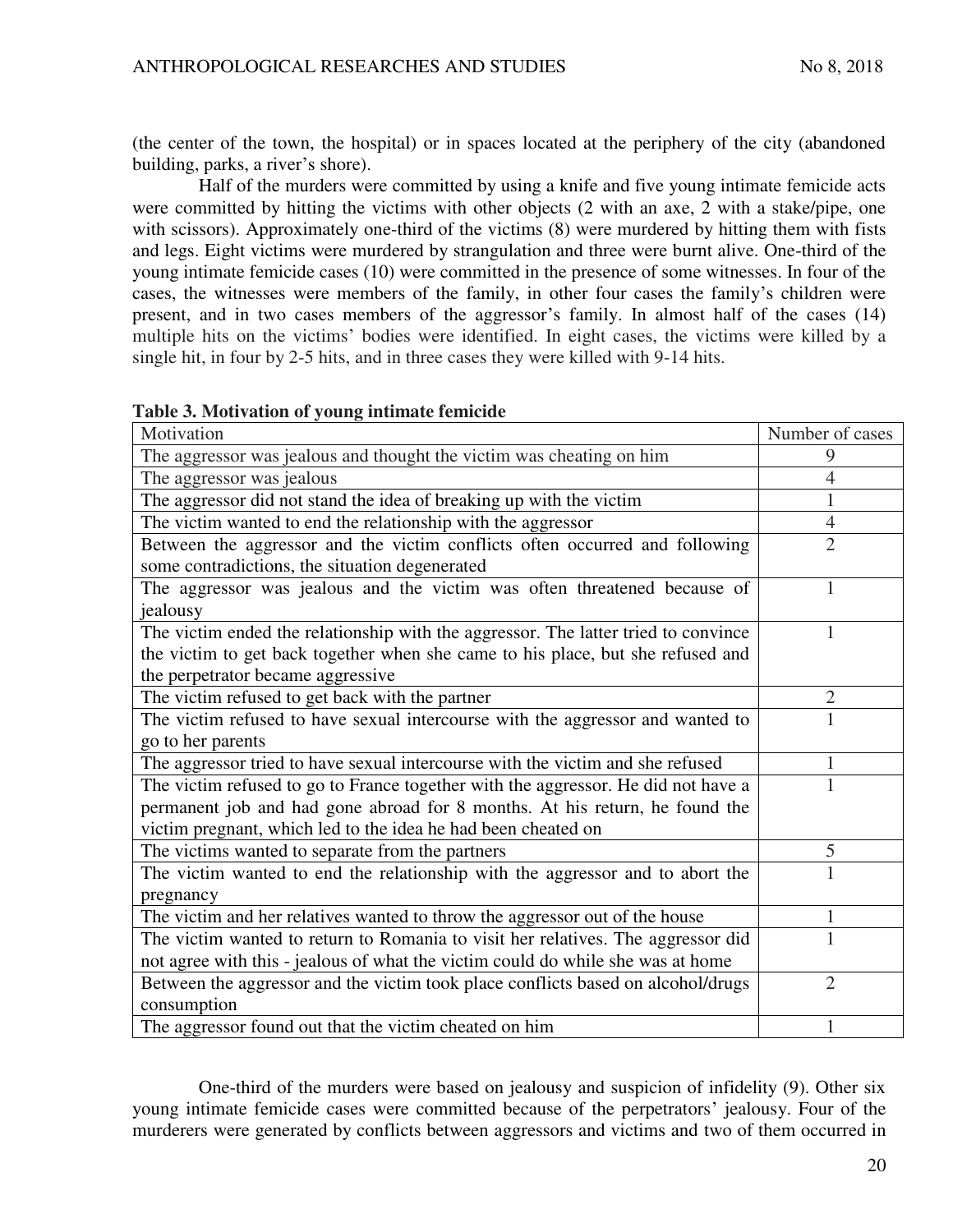(the center of the town, the hospital) or in spaces located at the periphery of the city (abandoned building, parks, a river's shore).

Half of the murders were committed by using a knife and five young intimate femicide acts were committed by hitting the victims with other objects (2 with an axe, 2 with a stake/pipe, one with scissors). Approximately one-third of the victims  $(8)$  were murdered by hitting them with fists and legs. Eight victims were murdered by strangulation and three were burnt alive. One-third of the young intimate femicide cases (10) were committed in the presence of some witnesses. In four of the cases, the witnesses were members of the family, in other four cases the family's children were present, and in two cases members of the aggressor's family. In almost half of the cases (14) multiple hits on the victims' bodies were identified. In eight cases, the victims were killed by a single hit, in four by 2-5 hits, and in three cases they were killed with 9-14 hits.

|  | Table 3. Motivation of young intimate femicide |  |  |
|--|------------------------------------------------|--|--|
|--|------------------------------------------------|--|--|

| Motivation                                                                         | Number of cases |
|------------------------------------------------------------------------------------|-----------------|
| The aggressor was jealous and thought the victim was cheating on him               | 9               |
| The aggressor was jealous                                                          | 4               |
| The aggressor did not stand the idea of breaking up with the victim                |                 |
| The victim wanted to end the relationship with the aggressor                       | 4               |
| Between the aggressor and the victim conflicts often occurred and following        | $\overline{2}$  |
| some contradictions, the situation degenerated                                     |                 |
| The aggressor was jealous and the victim was often threatened because of           | 1               |
| jealousy                                                                           |                 |
| The victim ended the relationship with the aggressor. The latter tried to convince | 1               |
| the victim to get back together when she came to his place, but she refused and    |                 |
| the perpetrator became aggressive                                                  |                 |
| The victim refused to get back with the partner                                    | 2               |
| The victim refused to have sexual intercourse with the aggressor and wanted to     |                 |
| go to her parents                                                                  |                 |
| The aggressor tried to have sexual intercourse with the victim and she refused     | 1               |
| The victim refused to go to France together with the aggressor. He did not have a  |                 |
| permanent job and had gone abroad for 8 months. At his return, he found the        |                 |
| victim pregnant, which led to the idea he had been cheated on                      |                 |
| The victims wanted to separate from the partners                                   | 5               |
| The victim wanted to end the relationship with the aggressor and to abort the      |                 |
| pregnancy                                                                          |                 |
| The victim and her relatives wanted to throw the aggressor out of the house        | 1               |
| The victim wanted to return to Romania to visit her relatives. The aggressor did   |                 |
| not agree with this - jealous of what the victim could do while she was at home    |                 |
| Between the aggressor and the victim took place conflicts based on alcohol/drugs   | $\overline{2}$  |
| consumption                                                                        |                 |
| The aggressor found out that the victim cheated on him                             | 1               |

One-third of the murders were based on jealousy and suspicion of infidelity (9). Other six young intimate femicide cases were committed because of the perpetrators' jealousy. Four of the murderers were generated by conflicts between aggressors and victims and two of them occurred in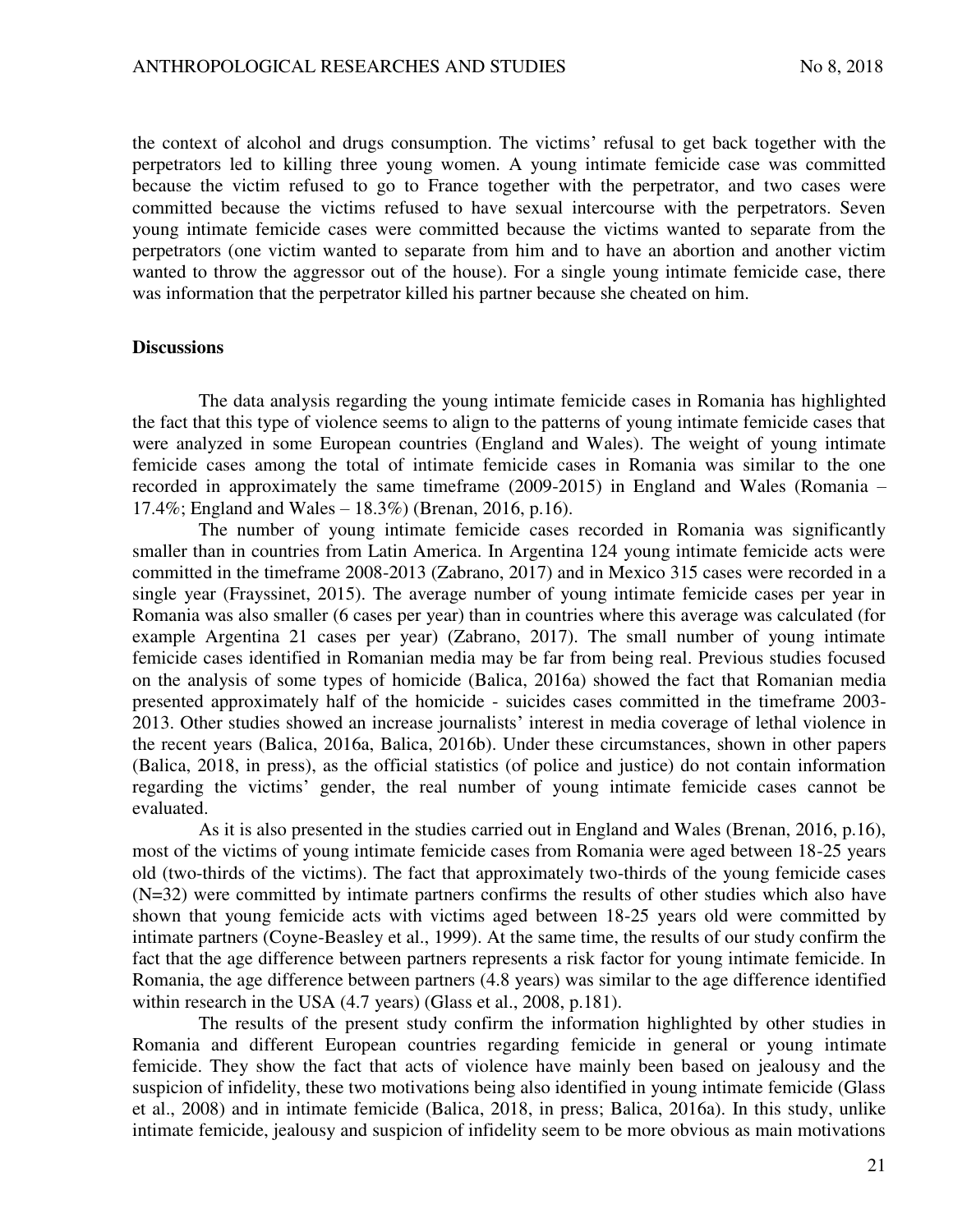the context of alcohol and drugs consumption. The victims' refusal to get back together with the perpetrators led to killing three young women. A young intimate femicide case was committed because the victim refused to go to France together with the perpetrator, and two cases were committed because the victims refused to have sexual intercourse with the perpetrators. Seven young intimate femicide cases were committed because the victims wanted to separate from the perpetrators (one victim wanted to separate from him and to have an abortion and another victim wanted to throw the aggressor out of the house). For a single young intimate femicide case, there was information that the perpetrator killed his partner because she cheated on him.

#### **Discussions**

The data analysis regarding the young intimate femicide cases in Romania has highlighted the fact that this type of violence seems to align to the patterns of young intimate femicide cases that were analyzed in some European countries (England and Wales). The weight of young intimate femicide cases among the total of intimate femicide cases in Romania was similar to the one recorded in approximately the same timeframe (2009-2015) in England and Wales (Romania – 17.4%; England and Wales – 18.3%) (Brenan, 2016, p.16).

The number of young intimate femicide cases recorded in Romania was significantly smaller than in countries from Latin America. In Argentina 124 young intimate femicide acts were committed in the timeframe 2008-2013 (Zabrano, 2017) and in Mexico 315 cases were recorded in a single year (Frayssinet, 2015). The average number of young intimate femicide cases per year in Romania was also smaller (6 cases per year) than in countries where this average was calculated (for example Argentina 21 cases per year) (Zabrano, 2017). The small number of young intimate femicide cases identified in Romanian media may be far from being real. Previous studies focused on the analysis of some types of homicide (Balica, 2016a) showed the fact that Romanian media presented approximately half of the homicide - suicides cases committed in the timeframe 2003- 2013. Other studies showed an increase journalists' interest in media coverage of lethal violence in the recent years (Balica, 2016a, Balica, 2016b). Under these circumstances, shown in other papers (Balica, 2018, in press), as the official statistics (of police and justice) do not contain information regarding the victims' gender, the real number of young intimate femicide cases cannot be evaluated.

As it is also presented in the studies carried out in England and Wales (Brenan, 2016, p.16), most of the victims of young intimate femicide cases from Romania were aged between 18-25 years old (two-thirds of the victims). The fact that approximately two-thirds of the young femicide cases (N=32) were committed by intimate partners confirms the results of other studies which also have shown that young femicide acts with victims aged between 18-25 years old were committed by intimate partners (Coyne-Beasley et al., 1999). At the same time, the results of our study confirm the fact that the age difference between partners represents a risk factor for young intimate femicide. In Romania, the age difference between partners (4.8 years) was similar to the age difference identified within research in the USA (4.7 years) (Glass et al., 2008, p.181).

The results of the present study confirm the information highlighted by other studies in Romania and different European countries regarding femicide in general or young intimate femicide. They show the fact that acts of violence have mainly been based on jealousy and the suspicion of infidelity, these two motivations being also identified in young intimate femicide (Glass et al., 2008) and in intimate femicide (Balica, 2018, in press; Balica, 2016a). In this study, unlike intimate femicide, jealousy and suspicion of infidelity seem to be more obvious as main motivations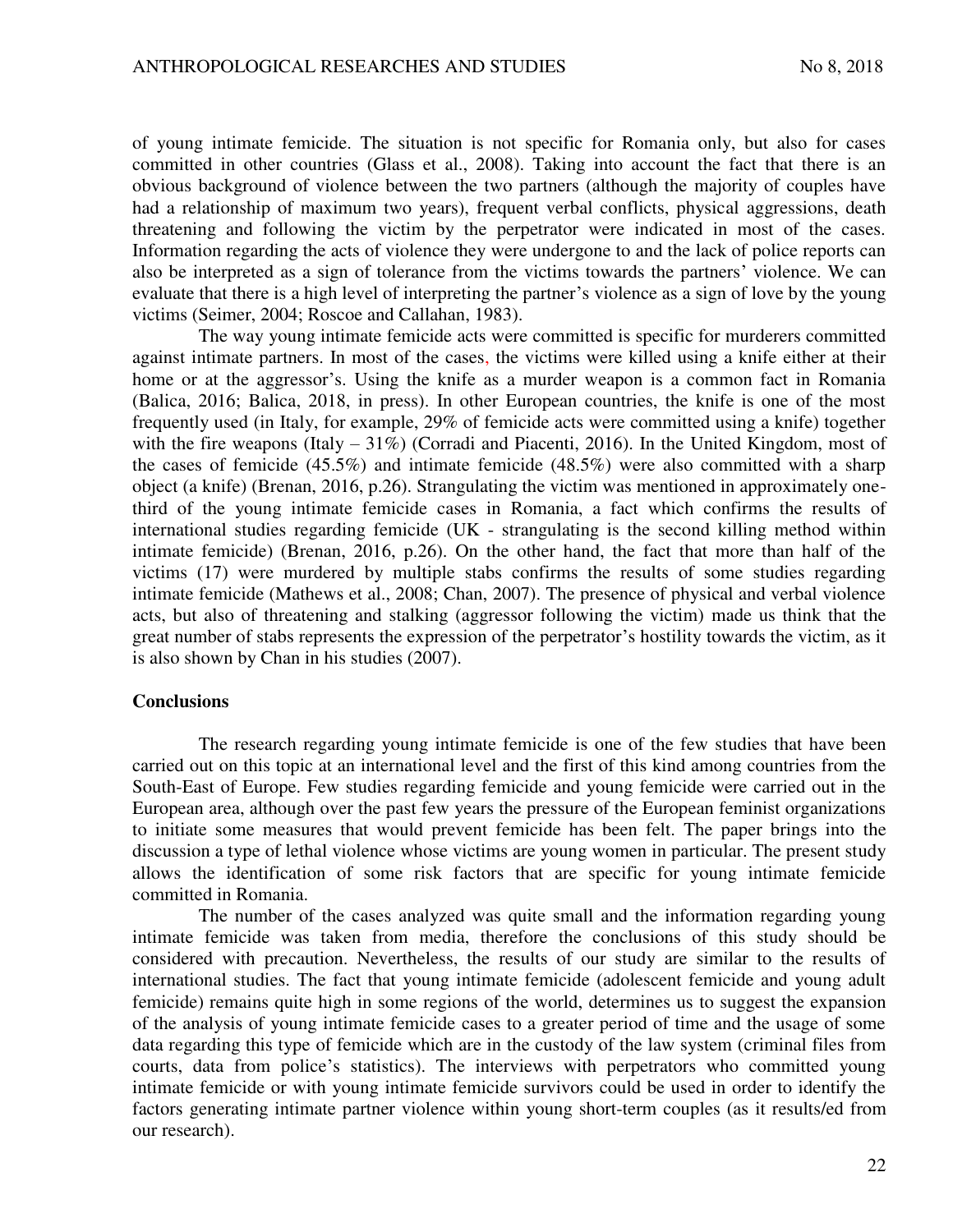of young intimate femicide. The situation is not specific for Romania only, but also for cases committed in other countries (Glass et al., 2008). Taking into account the fact that there is an obvious background of violence between the two partners (although the majority of couples have had a relationship of maximum two years), frequent verbal conflicts, physical aggressions, death threatening and following the victim by the perpetrator were indicated in most of the cases. Information regarding the acts of violence they were undergone to and the lack of police reports can also be interpreted as a sign of tolerance from the victims towards the partners' violence. We can evaluate that there is a high level of interpreting the partner's violence as a sign of love by the young victims (Seimer, 2004; Roscoe and Callahan, 1983).

The way young intimate femicide acts were committed is specific for murderers committed against intimate partners. In most of the cases, the victims were killed using a knife either at their home or at the aggressor's. Using the knife as a murder weapon is a common fact in Romania (Balica, 2016; Balica, 2018, in press). In other European countries, the knife is one of the most frequently used (in Italy, for example, 29% of femicide acts were committed using a knife) together with the fire weapons (Italy – 31%) (Corradi and Piacenti, 2016). In the United Kingdom, most of the cases of femicide (45.5%) and intimate femicide (48.5%) were also committed with a sharp object (a knife) (Brenan, 2016, p.26). Strangulating the victim was mentioned in approximately onethird of the young intimate femicide cases in Romania, a fact which confirms the results of international studies regarding femicide (UK - strangulating is the second killing method within intimate femicide) (Brenan, 2016, p.26). On the other hand, the fact that more than half of the victims (17) were murdered by multiple stabs confirms the results of some studies regarding intimate femicide (Mathews et al., 2008; Chan, 2007). The presence of physical and verbal violence acts, but also of threatening and stalking (aggressor following the victim) made us think that the great number of stabs represents the expression of the perpetrator's hostility towards the victim, as it is also shown by Chan in his studies (2007).

### **Conclusions**

The research regarding young intimate femicide is one of the few studies that have been carried out on this topic at an international level and the first of this kind among countries from the South-East of Europe. Few studies regarding femicide and young femicide were carried out in the European area, although over the past few years the pressure of the European feminist organizations to initiate some measures that would prevent femicide has been felt. The paper brings into the discussion a type of lethal violence whose victims are young women in particular. The present study allows the identification of some risk factors that are specific for young intimate femicide committed in Romania.

The number of the cases analyzed was quite small and the information regarding young intimate femicide was taken from media, therefore the conclusions of this study should be considered with precaution. Nevertheless, the results of our study are similar to the results of international studies. The fact that young intimate femicide (adolescent femicide and young adult femicide) remains quite high in some regions of the world, determines us to suggest the expansion of the analysis of young intimate femicide cases to a greater period of time and the usage of some data regarding this type of femicide which are in the custody of the law system (criminal files from courts, data from police's statistics). The interviews with perpetrators who committed young intimate femicide or with young intimate femicide survivors could be used in order to identify the factors generating intimate partner violence within young short-term couples (as it results/ed from our research).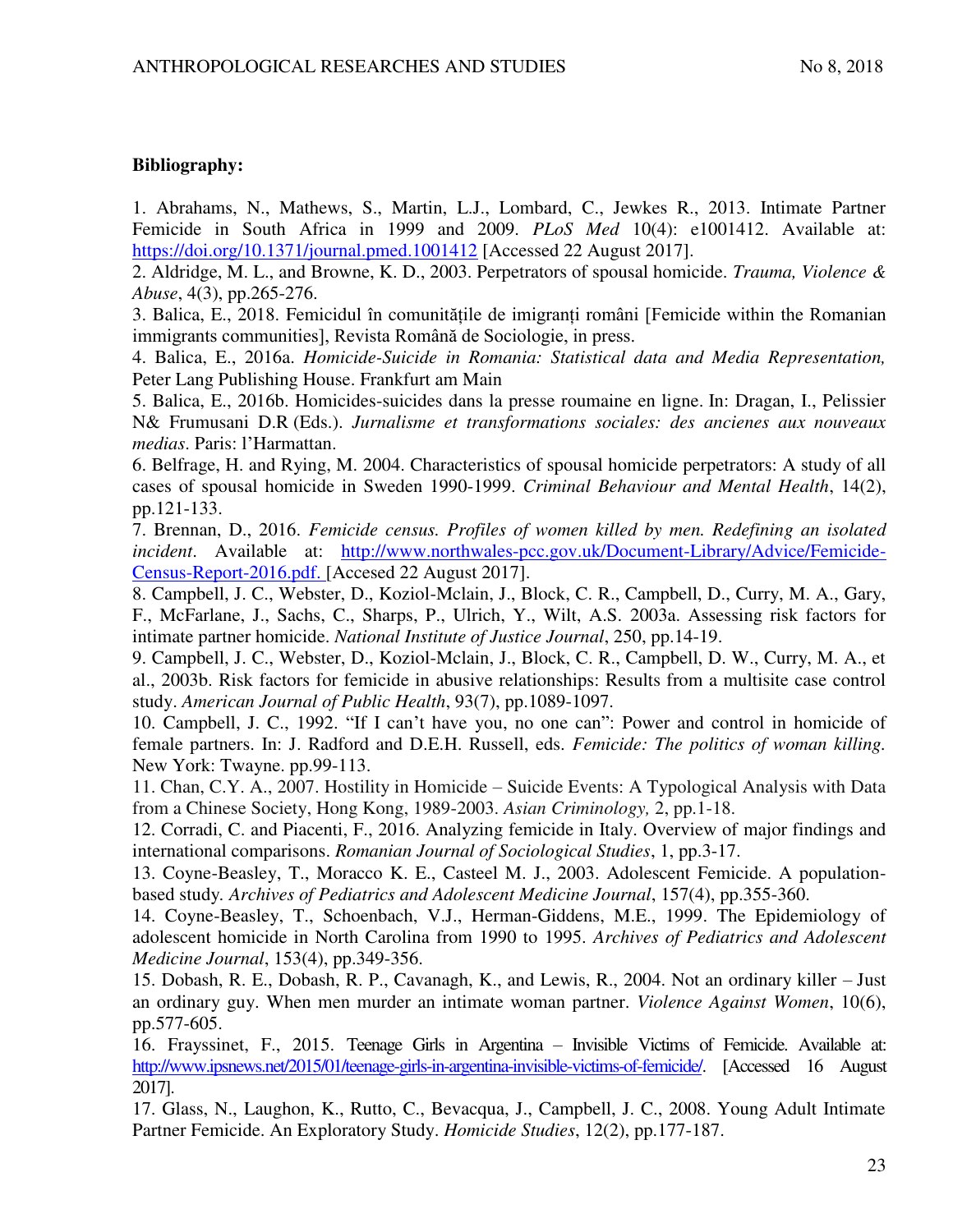# **Bibliography:**

1. Abrahams, N., Mathews, S., Martin, L.J., Lombard, C., Jewkes R., 2013. Intimate Partner Femicide in South Africa in 1999 and 2009. *PLoS Med* 10(4): e1001412. Available at: <https://doi.org/10.1371/journal.pmed.1001412>[Accessed 22 August 2017].

2. Aldridge, M. L., and Browne, K. D., 2003. Perpetrators of spousal homicide. *Trauma, Violence & Abuse*, 4(3), pp.265-276.

3. Balica, E., 2018. Femicidul în comunitățile de imigranți români [Femicide within the Romanian immigrants communities], Revista Română de Sociologie, in press.

4. Balica, E., 2016a. *Homicide-Suicide in Romania: Statistical data and Media Representation,*  Peter Lang Publishing House. Frankfurt am Main

5. Balica, E., 2016b. Homicides-suicides dans la presse roumaine en ligne. In: Dragan, I., Pelissier N& Frumusani D.R (Eds.). *Jurnalisme et transformations sociales: des ancienes aux nouveaux medias*. Paris: l'Harmattan.

6. Belfrage, H. and Rying, M. 2004. Characteristics of spousal homicide perpetrators: A study of all cases of spousal homicide in Sweden 1990-1999. *Criminal Behaviour and Mental Health*, 14(2), pp.121-133.

7. Brennan, D., 2016. *Femicide census. Profiles of women killed by men. Redefining an isolated incident*. Available at: [http://www.northwales-pcc.gov.uk/Document-Library/Advice/Femicide-](http://www.northwales-pcc.gov.uk/Document-Library/Advice/Femicide-Census-Report-2016.pdf)[Census-Report-2016.pdf.](http://www.northwales-pcc.gov.uk/Document-Library/Advice/Femicide-Census-Report-2016.pdf) [Accesed 22 August 2017].

8. Campbell, J. C., Webster, D., Koziol-Mclain, J., Block, C. R., Campbell, D., Curry, M. A., Gary, F., McFarlane, J., Sachs, C., Sharps, P., Ulrich, Y., Wilt, A.S. 2003a. Assessing risk factors for intimate partner homicide. *National Institute of Justice Journal*, 250, pp.14-19.

9. Campbell, J. C., Webster, D., Koziol-Mclain, J., Block, C. R., Campbell, D. W., Curry, M. A., et al., 2003b. Risk factors for femicide in abusive relationships: Results from a multisite case control study. *American Journal of Public Health*, 93(7), pp.1089-1097.

10. Campbell, J. C., 1992. "If I can't have you, no one can": Power and control in homicide of female partners. In: J. Radford and D.E.H. Russell, eds. *Femicide: The politics of woman killing.* New York: Twayne. pp.99-113.

11. Chan, C.Y. A., 2007. Hostility in Homicide – Suicide Events: A Typological Analysis with Data from a Chinese Society, Hong Kong, 1989-2003. *Asian Criminology,* 2, pp.1-18.

12. Corradi, C. and Piacenti, F., 2016. Analyzing femicide in Italy. Overview of major findings and international comparisons. *Romanian Journal of Sociological Studies*, 1, pp.3-17.

13. Coyne-Beasley, T., Moracco K. E., Casteel M. J., 2003. Adolescent Femicide. A populationbased study*. Archives of Pediatrics and Adolescent Medicine Journal*, 157(4), pp.355-360.

14. Coyne-Beasley, T., Schoenbach, V.J., Herman-Giddens, M.E., 1999. The Epidemiology of adolescent homicide in North Carolina from 1990 to 1995. *Archives of Pediatrics and Adolescent Medicine Journal*, 153(4), pp.349-356.

15. Dobash, R. E., Dobash, R. P., Cavanagh, K., and Lewis, R., 2004. Not an ordinary killer – Just an ordinary guy. When men murder an intimate woman partner. *Violence Against Women*, 10(6), pp.577-605.

16. Frayssinet, F., 2015. Teenage Girls in Argentina – Invisible Victims of Femicide. Available at: [http://www.ipsnews.net/2015/01/teenage-girls-in-argentina-invisible-victims-of-femicide/.](http://www.ipsnews.net/2015/01/teenage-girls-in-argentina-invisible-victims-of-femicide/) [Accessed 16 August 2017].

17. Glass, N., Laughon, K., Rutto, C., Bevacqua, J., Campbell, J. C., 2008. Young Adult Intimate Partner Femicide. An Exploratory Study. *Homicide Studies*, 12(2), pp.177-187.